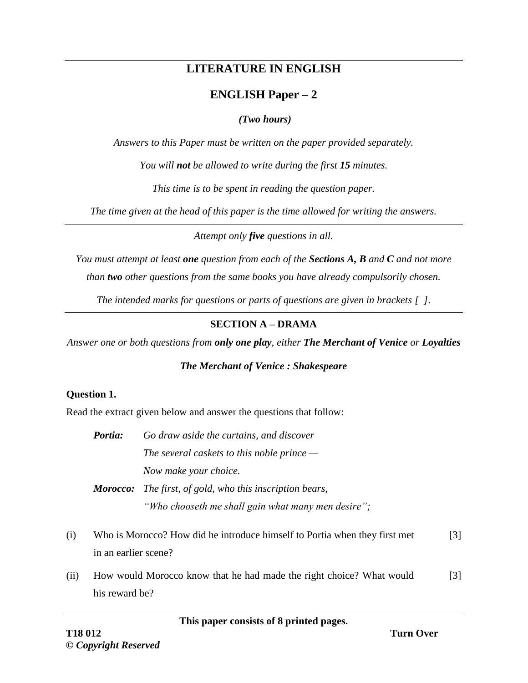# **LITERATURE IN ENGLISH**

# **ENGLISH Paper – 2**

## *(Two hours)*

*Answers to this Paper must be written on the paper provided separately.*

*You will not be allowed to write during the first 15 minutes.*

*This time is to be spent in reading the question paper.*

*The time given at the head of this paper is the time allowed for writing the answers.*

*Attempt only five questions in all.*

*You must attempt at least one question from each of the Sections A, B and C and not more than two other questions from the same books you have already compulsorily chosen.*

*The intended marks for questions or parts of questions are given in brackets [ ].*

# **SECTION A – DRAMA**

*Answer one or both questions from only one play, either The Merchant of Venice or Loyalties*

# *The Merchant of Venice : Shakespeare*

# **Question 1.**

Read the extract given below and answer the questions that follow:

| <i>Portia:</i> | Go draw aside the curtains, and discover                                                                              |
|----------------|-----------------------------------------------------------------------------------------------------------------------|
|                | The several caskets to this noble prince $-$                                                                          |
|                | Now make your choice.                                                                                                 |
|                | <b>Morocco:</b> The first, of gold, who this inscription bears,<br>"Who chooseth me shall gain what many men desire"; |

- (i) Who is Morocco? How did he introduce himself to Portia when they first met in an earlier scene? [3]
- (ii) How would Morocco know that he had made the right choice? What would his reward be? [3]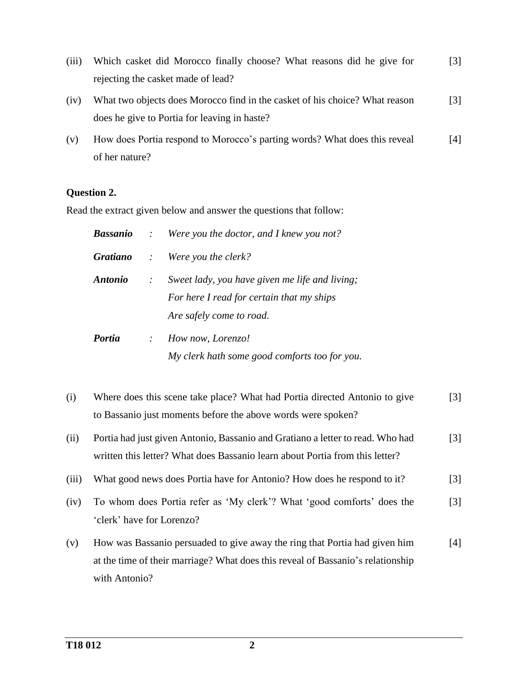- (iii) Which casket did Morocco finally choose? What reasons did he give for rejecting the casket made of lead? [3]
- (iv) What two objects does Morocco find in the casket of his choice? What reason does he give to Portia for leaving in haste? [3]
- (v) How does Portia respond to Morocco's parting words? What does this reveal of her nature? [4]

### **Question 2.**

Read the extract given below and answer the questions that follow:

|                       |               | <b>Bassanio</b> : Were you the doctor, and I knew you not?                                                              |
|-----------------------|---------------|-------------------------------------------------------------------------------------------------------------------------|
|                       |               | <b>Gratiano</b> : Were you the clerk?                                                                                   |
| <i><b>Antonio</b></i> | $\mathcal{L}$ | Sweet lady, you have given me life and living;<br>For here I read for certain that my ships<br>Are safely come to road. |
| <b>Portia</b>         | $\mathcal{L}$ | How now, Lorenzo!<br>My clerk hath some good comforts too for you.                                                      |

- (i) Where does this scene take place? What had Portia directed Antonio to give to Bassanio just moments before the above words were spoken? [3]
- (ii) Portia had just given Antonio, Bassanio and Gratiano a letter to read. Who had written this letter? What does Bassanio learn about Portia from this letter? [3]
- (iii) What good news does Portia have for Antonio? How does he respond to it? [3]
- (iv) To whom does Portia refer as 'My clerk'? What 'good comforts' does the 'clerk' have for Lorenzo? [3]
- (v) How was Bassanio persuaded to give away the ring that Portia had given him at the time of their marriage? What does this reveal of Bassanio's relationship with Antonio? [4]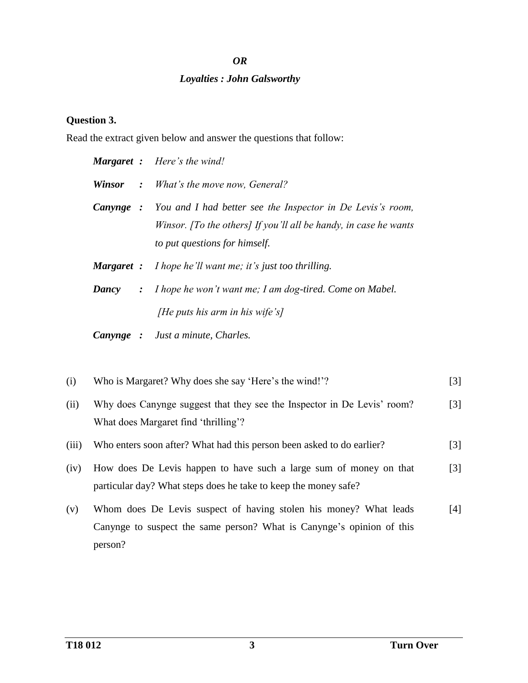#### *OR*

#### *Loyalties : John Galsworthy*

#### **Question 3.**

Read the extract given below and answer the questions that follow:

|           | <b>Margaret</b> : Here's the wind!                                                                                                                                               |
|-----------|----------------------------------------------------------------------------------------------------------------------------------------------------------------------------------|
|           | <b>Winsor</b> : What's the move now, General?                                                                                                                                    |
|           | <b>Canynge</b> : You and I had better see the Inspector in De Levis's room,<br>Winsor. [To the others] If you'll all be handy, in case he wants<br>to put questions for himself. |
|           | <b>Margaret</b> : I hope he'll want me; it's just too thrilling.                                                                                                                 |
| Dancy     | $: I$ hope he won't want me; I am dog-tired. Come on Mabel.<br>[He puts his arm in his wife's]                                                                                   |
| Canynge : | Just a minute, Charles.                                                                                                                                                          |

- (i) Who is Margaret? Why does she say 'Here's the wind!'? [3]
- (ii) Why does Canynge suggest that they see the Inspector in De Levis' room? What does Margaret find 'thrilling'? [3]
- (iii) Who enters soon after? What had this person been asked to do earlier? [3]
- (iv) How does De Levis happen to have such a large sum of money on that particular day? What steps does he take to keep the money safe? [3]
- (v) Whom does De Levis suspect of having stolen his money? What leads Canynge to suspect the same person? What is Canynge's opinion of this person? [4]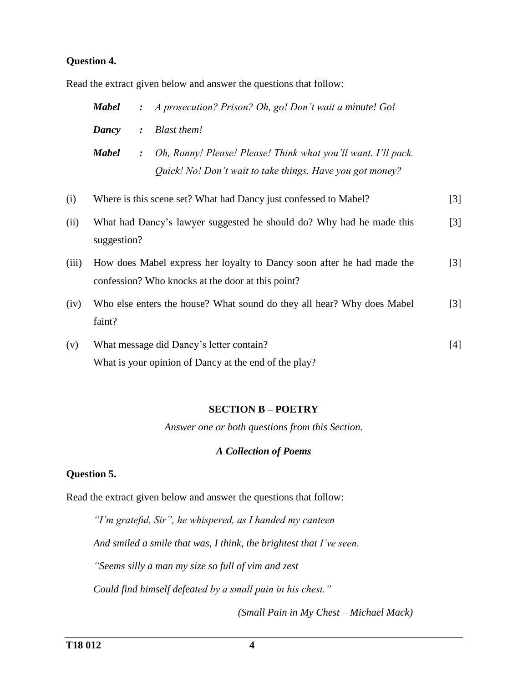### **Question 4.**

Read the extract given below and answer the questions that follow:

|       | <b>Mabel</b> | $\ddot{\cdot}$ | A prosecution? Prison? Oh, go! Don't wait a minute! Go!                                                                     |                   |
|-------|--------------|----------------|-----------------------------------------------------------------------------------------------------------------------------|-------------------|
|       | Dancy        | $\ddot{\cdot}$ | <b>Blast them!</b>                                                                                                          |                   |
|       | <b>Mabel</b> | $\ddot{\cdot}$ | Oh, Ronny! Please! Please! Think what you'll want. I'll pack.<br>Quick! No! Don't wait to take things. Have you got money?  |                   |
| (i)   |              |                | Where is this scene set? What had Dancy just confessed to Mabel?                                                            | $[3]$             |
| (ii)  | suggestion?  |                | What had Dancy's lawyer suggested he should do? Why had he made this                                                        | $[3]$             |
| (iii) |              |                | How does Mabel express her loyalty to Dancy soon after he had made the<br>confession? Who knocks at the door at this point? | $\lceil 3 \rceil$ |
| (iv)  | faint?       |                | Who else enters the house? What sound do they all hear? Why does Mabel                                                      | $[3]$             |
| (v)   |              |                | What message did Dancy's letter contain?<br>What is your opinion of Dancy at the end of the play?                           | $[4]$             |

#### **SECTION B – POETRY**

*Answer one or both questions from this Section.*

#### *A Collection of Poems*

## **Question 5.**

Read the extract given below and answer the questions that follow:

*"I'm grateful, Sir", he whispered, as I handed my canteen* 

*And smiled a smile that was, I think, the brightest that I've seen.*

*"Seems silly a man my size so full of vim and zest* 

*Could find himself defeated by a small pain in his chest."*

*(Small Pain in My Chest – Michael Mack)*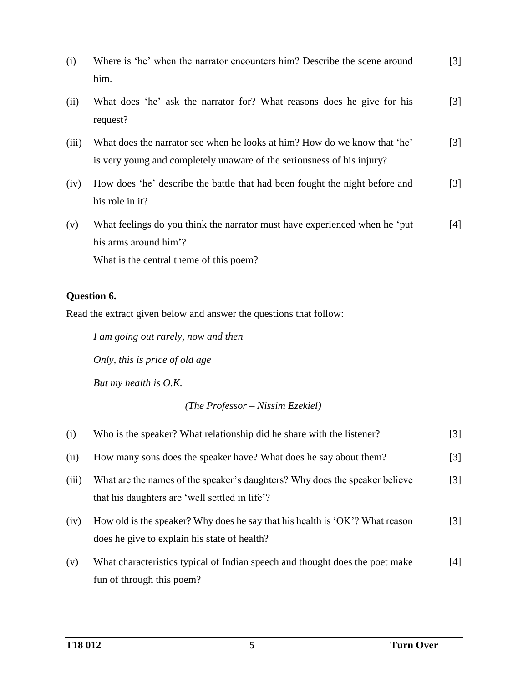| (i)   | Where is 'he' when the narrator encounters him? Describe the scene around<br>him.                                                                   | $\lceil 3 \rceil$ |
|-------|-----------------------------------------------------------------------------------------------------------------------------------------------------|-------------------|
| (ii)  | What does 'he' ask the narrator for? What reasons does he give for his<br>request?                                                                  | $\lceil 3 \rceil$ |
| (iii) | What does the narrator see when he looks at him? How do we know that 'he'<br>is very young and completely unaware of the seriousness of his injury? | $\lceil 3 \rceil$ |
| (iv)  | How does 'he' describe the battle that had been fought the night before and<br>his role in it?                                                      | $\lceil 3 \rceil$ |
| (v)   | What feelings do you think the narrator must have experienced when he 'put<br>his arms around him'?<br>What is the central theme of this poem?      | [4]               |

# **Question 6.**

Read the extract given below and answer the questions that follow:

*I am going out rarely, now and then*

*Only, this is price of old age*

*But my health is O.K.*

### *(The Professor – Nissim Ezekiel)*

| (i)   | Who is the speaker? What relationship did he share with the listener?                                                         | [3]               |
|-------|-------------------------------------------------------------------------------------------------------------------------------|-------------------|
| (ii)  | How many sons does the speaker have? What does he say about them?                                                             | $\lceil 3 \rceil$ |
| (iii) | What are the names of the speaker's daughters? Why does the speaker believe<br>that his daughters are 'well settled in life'? | $\lceil 3 \rceil$ |
| (iv)  | How old is the speaker? Why does he say that his health is 'OK'? What reason<br>does he give to explain his state of health?  | $\lceil 3 \rceil$ |
| (v)   | What characteristics typical of Indian speech and thought does the poet make<br>fun of through this poem?                     | [4]               |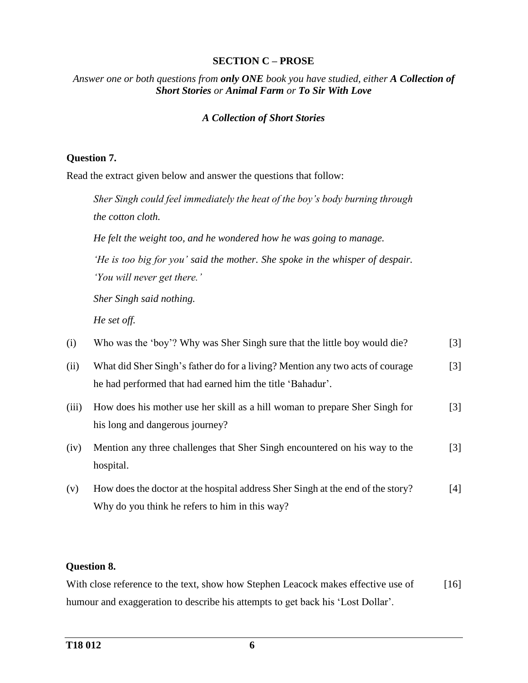### **SECTION C – PROSE**

*Answer one or both questions from only ONE book you have studied, either A Collection of Short Stories or Animal Farm or To Sir With Love*

### *A Collection of Short Stories*

### **Question 7.**

Read the extract given below and answer the questions that follow:

*Sher Singh could feel immediately the heat of the boy's body burning through the cotton cloth. He felt the weight too, and he wondered how he was going to manage. 'He is too big for you' said the mother. She spoke in the whisper of despair.* 

*'You will never get there.'*

*Sher Singh said nothing.*

*He set off.*

| (i)   | Who was the 'boy'? Why was Sher Singh sure that the little boy would die?                                                                  | [3]               |
|-------|--------------------------------------------------------------------------------------------------------------------------------------------|-------------------|
| (ii)  | What did Sher Singh's father do for a living? Mention any two acts of courage<br>he had performed that had earned him the title 'Bahadur'. | $\lceil 3 \rceil$ |
| (iii) | How does his mother use her skill as a hill woman to prepare Sher Singh for<br>his long and dangerous journey?                             | $[3]$             |
| (iv)  | Mention any three challenges that Sher Singh encountered on his way to the<br>hospital.                                                    | [3]               |
| (v)   | How does the doctor at the hospital address Sher Singh at the end of the story?                                                            | [4]               |

Why do you think he refers to him in this way?

### **Question 8.**

With close reference to the text, show how Stephen Leacock makes effective use of humour and exaggeration to describe his attempts to get back his 'Lost Dollar'. [16]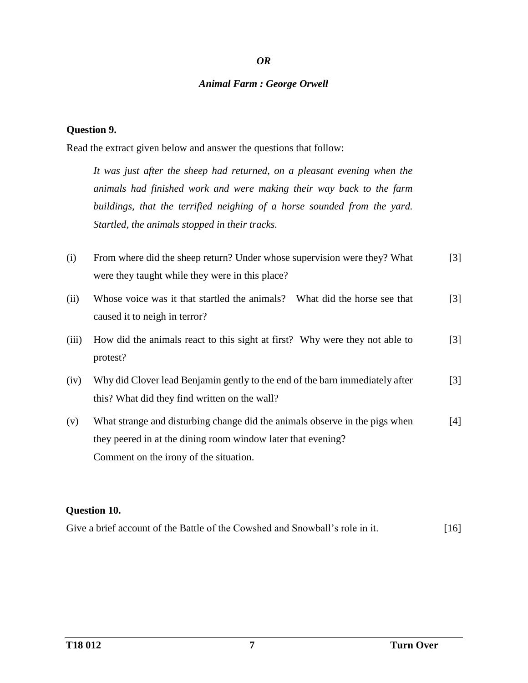#### *OR*

#### *Animal Farm : George Orwell*

#### **Question 9.**

Read the extract given below and answer the questions that follow:

*It was just after the sheep had returned, on a pleasant evening when the animals had finished work and were making their way back to the farm buildings, that the terrified neighing of a horse sounded from the yard. Startled, the animals stopped in their tracks.*

- (i) From where did the sheep return? Under whose supervision were they? What were they taught while they were in this place? [3]
- (ii) Whose voice was it that startled the animals? What did the horse see that caused it to neigh in terror? [3]
- (iii) How did the animals react to this sight at first? Why were they not able to protest? [3]
- (iv) Why did Clover lead Benjamin gently to the end of the barn immediately after this? What did they find written on the wall? [3]
- (v) What strange and disturbing change did the animals observe in the pigs when they peered in at the dining room window later that evening? Comment on the irony of the situation. [4]

#### **Question 10.**

| Give a brief account of the Battle of the Cowshed and Snowball's role in it. | $[16]$ |
|------------------------------------------------------------------------------|--------|
|------------------------------------------------------------------------------|--------|